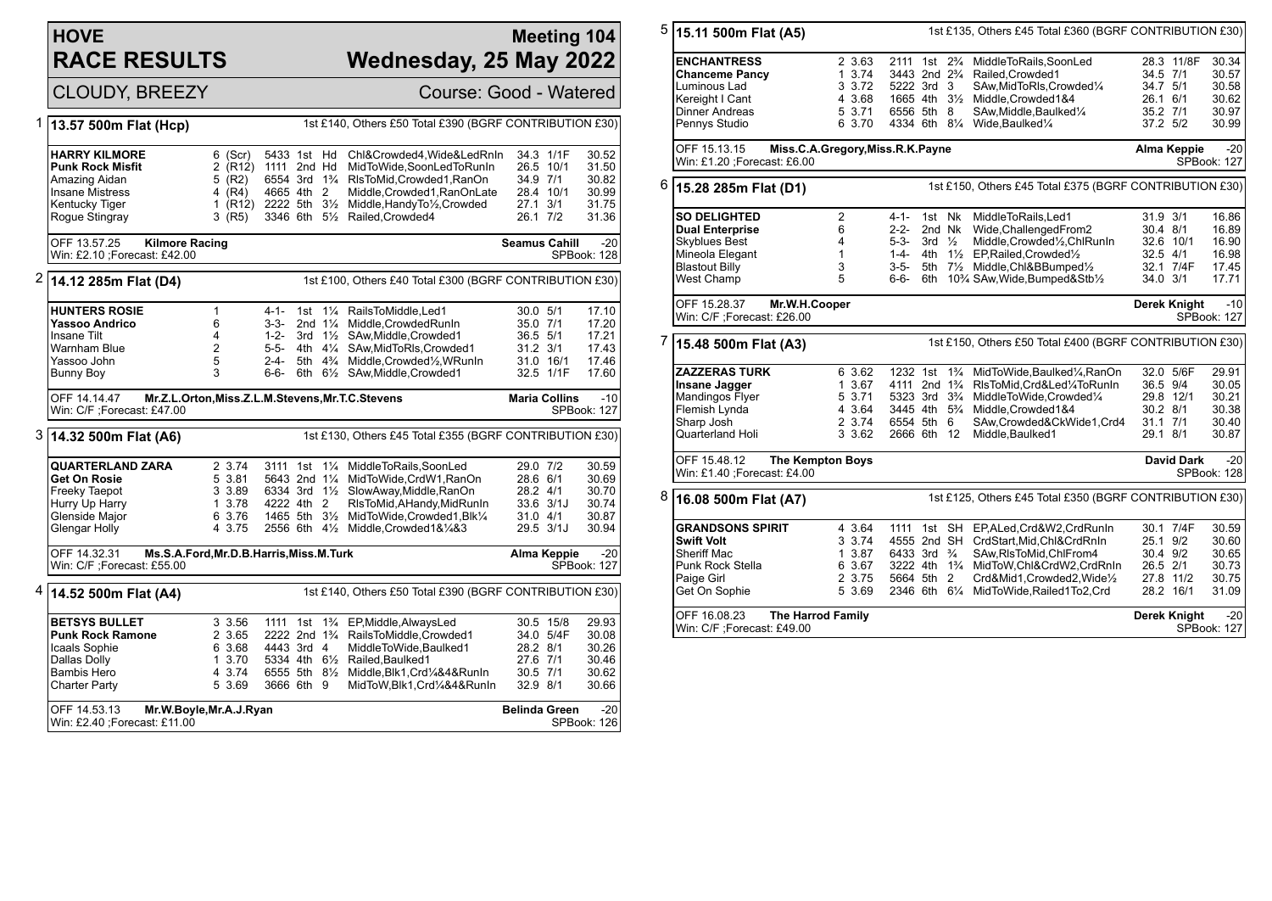## **HOVE RACE RESULTS**

## **Meeting 104 Wednesday, 25 May 2022**

CLOUDY, BREEZY Course: Good - Watered

| 1 | 13.57 500m Flat (Hcp)                                            | 1st £140, Others £50 Total £390 (BGRF CONTRIBUTION £30) |                                        |             |                    |                                                         |                      |                      |             |
|---|------------------------------------------------------------------|---------------------------------------------------------|----------------------------------------|-------------|--------------------|---------------------------------------------------------|----------------------|----------------------|-------------|
|   |                                                                  |                                                         |                                        |             |                    |                                                         |                      |                      |             |
|   | <b>HARRY KILMORE</b>                                             | $6$ (Scr)                                               | 5433 1st Hd                            |             |                    | Chl&Crowded4,Wide&LedRnIn                               | 34.3 1/1F            |                      | 30.52       |
|   | <b>Punk Rock Misfit</b>                                          | 2 (R12)                                                 | 1111 2nd Hd                            |             |                    | MidToWide,SoonLedToRunIn                                | 26.5 10/1            |                      | 31.50       |
|   | Amazing Aidan                                                    | $5$ (R2)                                                | 6554 3rd 1 <sup>3</sup> / <sub>4</sub> |             |                    | RIsToMid, Crowded1, RanOn                               | 34.9 7/1             |                      | 30.82       |
|   | <b>Insane Mistress</b>                                           | (R4)<br>4                                               | 4665 4th 2                             |             |                    | Middle, Crowded1, RanOnLate                             | 28.4 10/1            |                      | 30.99       |
|   | Kentucky Tiger                                                   | (R <sub>12</sub> )<br>1.                                | 2222 5th 31/2                          |             |                    | Middle, Handy To 1/2, Crowded                           | 27.1 3/1             |                      | 31.75       |
|   | Rogue Stingray                                                   | $3$ (R5)                                                |                                        |             |                    | 3346 6th 51/2 Railed, Crowded4                          | 26.1 7/2             |                      | 31.36       |
|   |                                                                  |                                                         |                                        |             |                    |                                                         |                      |                      |             |
|   | OFF 13.57.25<br><b>Kilmore Racing</b>                            |                                                         |                                        |             |                    |                                                         | <b>Seamus Cahill</b> |                      | $-20$       |
|   | Win: £2.10 ; Forecast: £42.00                                    |                                                         |                                        |             |                    |                                                         |                      |                      | SPBook: 128 |
|   |                                                                  |                                                         |                                        |             |                    |                                                         |                      |                      |             |
| 2 | 14.12 285m Flat (D4)                                             |                                                         |                                        |             |                    | 1st £100, Others £40 Total £300 (BGRF CONTRIBUTION £30) |                      |                      |             |
|   | <b>HUNTERS ROSIE</b>                                             | $\mathbf{1}$                                            | 4-1-                                   |             |                    | 1st 11/ <sub>4</sub> RailsToMiddle.Led1                 | 30.0 5/1             |                      | 17.10       |
|   | Yassoo Andrico                                                   | 6                                                       | $3-3-$                                 |             | 2nd $1\frac{1}{4}$ | Middle, Crowded RunIn                                   | 35.0 7/1             |                      | 17.20       |
|   | Insane Tilt                                                      | $\overline{4}$                                          | $1 - 2 -$                              |             |                    | 3rd 11/2 SAw, Middle, Crowded 1                         | 36.5 5/1             |                      | 17.21       |
|   | Warnham Blue                                                     | $\overline{2}$                                          | $5 - 5 -$                              |             |                    | 4th 41/4 SAw, MidToRIs, Crowded1                        | $31.2$ $3/1$         |                      | 17.43       |
|   | Yassoo John                                                      | 5                                                       | 2-4-                                   |             |                    | 5th 4% Middle, Crowded%, WRunIn                         | 31.0 16/1            |                      | 17.46       |
|   | <b>Bunny Boy</b>                                                 | 3                                                       | 6-6-                                   |             |                    | 6th 61/ <sub>2</sub> SAw, Middle, Crowded1              | 32.5 1/1F            |                      | 17.60       |
|   | OFF 14.14.47<br>Mr.Z.L.Orton, Miss.Z.L.M.Stevens, Mr.T.C.Stevens |                                                         |                                        |             |                    |                                                         |                      | <b>Maria Collins</b> | $-10$       |
|   | Win: C/F : Forecast: £47.00                                      |                                                         |                                        |             |                    |                                                         |                      |                      | SPBook: 127 |
|   |                                                                  |                                                         |                                        |             |                    |                                                         |                      |                      |             |
|   | 3 14.32 500m Flat (A6)                                           |                                                         |                                        |             |                    | 1st £130, Others £45 Total £355 (BGRF CONTRIBUTION £30) |                      |                      |             |
|   | <b>QUARTERLAND ZARA</b>                                          | 2 3.74                                                  | 3111 1st                               |             |                    | 11/4 MiddleToRails, SoonLed                             | 29.0 7/2             |                      | 30.59       |
|   | <b>Get On Rosie</b>                                              | 5 3.81                                                  | 5643 2nd 11/4                          |             |                    | MidToWide,CrdW1,RanOn                                   | 28.6 6/1             |                      | 30.69       |
|   | Freeky Taepot                                                    | 3 3.89                                                  |                                        |             |                    | 6334 3rd 11/2 SlowAway, Middle, RanOn                   | 28.2 4/1             |                      | 30.70       |
|   | Hurry Up Harry                                                   | 1 3.78                                                  | 4222 4th 2                             |             |                    | RIsToMid, AHandy, MidRunIn                              | $33.6$ $3/1J$        |                      | 30.74       |
|   | Glenside Major                                                   | 6 3.76                                                  |                                        |             |                    | 1465 5th 31/2 MidToWide, Crowded 1, Blk1/4              | 31.0 4/1             |                      | 30.87       |
|   | Glengar Holly                                                    | 4 3.75                                                  |                                        |             |                    | 2556 6th 41/2 Middle, Crowded 1& 1/4& 3                 | 29.5 3/1J            |                      | 30.94       |
|   |                                                                  | Ms.S.A.Ford, Mr.D.B.Harris, Miss.M.Turk<br>OFF 14.32.31 |                                        |             |                    |                                                         |                      |                      | $-20$       |
|   | Win: C/F ;Forecast: £55.00                                       |                                                         |                                        |             |                    |                                                         |                      |                      | SPBook: 127 |
| 4 | 14.52 500m Flat (A4)                                             |                                                         |                                        |             |                    | 1st £140, Others £50 Total £390 (BGRF CONTRIBUTION £30) |                      |                      |             |
|   | <b>BETSYS BULLET</b>                                             | 3 3.56                                                  | 1111 1st                               |             | $1\frac{3}{4}$     | EP, Middle, Always Led                                  | 30.5 15/8            |                      | 29.93       |
|   | <b>Punk Rock Ramone</b>                                          | 2 3.65                                                  | 2222 2nd 1 <sup>3</sup> / <sub>4</sub> |             |                    | RailsToMiddle,Crowded1                                  | 34.0 5/4F            |                      | 30.08       |
|   | Icaals Sophie                                                    | 6 3.68                                                  | 4443 3rd 4                             |             |                    | MiddleToWide, Baulked1                                  | 28.2 8/1             |                      | 30.26       |
|   | Dallas Dolly                                                     | 1 3.70                                                  | 5334 4th 61/2                          |             |                    | Railed.Baulked1                                         | 27.6 7/1             |                      | 30.46       |
|   | <b>Bambis Hero</b>                                               | 4 3.74                                                  |                                        |             |                    | 6555 5th 81/2 Middle, Blk1, Crd1/4&4&RunIn              | 30.5 7/1             |                      | 30.62       |
|   | <b>Charter Party</b>                                             | 5 3.69                                                  | 3666 6th 9                             |             |                    | MidToW, Blk1, Crd1/4&4&RunIn                            | 32.9 8/1             |                      | 30.66       |
|   |                                                                  |                                                         |                                        |             |                    |                                                         |                      |                      |             |
|   | OFF 14.53.13<br>Mr.W.Boyle, Mr.A.J.Ryan                          |                                                         |                                        |             |                    |                                                         | <b>Belinda Green</b> |                      | $-20$       |
|   | Win: £2.40 ; Forecast: £11.00                                    |                                                         |                                        | SPBook: 126 |                    |                                                         |                      |                      |             |

| 5<br>1st £135, Others £45 Total £360 (BGRF CONTRIBUTION £30)                         |                                                                                 |                |                                        |                   |                                                         |                                                                      |              |                   |                      |
|--------------------------------------------------------------------------------------|---------------------------------------------------------------------------------|----------------|----------------------------------------|-------------------|---------------------------------------------------------|----------------------------------------------------------------------|--------------|-------------------|----------------------|
|                                                                                      | 15.11 500m Flat (A5)                                                            |                |                                        |                   |                                                         |                                                                      |              |                   |                      |
|                                                                                      | <b>ENCHANTRESS</b>                                                              | 2 3.63         | 2111 1st 2 <sup>3</sup> / <sub>4</sub> |                   |                                                         |                                                                      |              | 28.3 11/8F        | 30.34                |
|                                                                                      |                                                                                 |                |                                        |                   |                                                         | MiddleToRails,SoonLed                                                |              |                   |                      |
|                                                                                      | <b>Chanceme Pancy</b>                                                           | 1 3.74         |                                        |                   |                                                         | 3443 2nd 2 <sup>3</sup> / <sub>4</sub> Railed, Crowded1              | 34.5 7/1     |                   | 30.57                |
|                                                                                      | Luminous Lad                                                                    | 3 3.72         | 5222 3rd 3                             |                   |                                                         | SAw, MidToRIs, Crowded 1/4                                           | 34.7 5/1     |                   | 30.58                |
|                                                                                      | Kereight I Cant                                                                 | 4 3.68         |                                        |                   |                                                         | 1665 4th 31/2 Middle, Crowded 1&4                                    | 26.1 6/1     |                   | 30.62                |
|                                                                                      | <b>Dinner Andreas</b>                                                           | 5 3.71         | 6556 5th 8                             |                   |                                                         | SAw, Middle, Baulked <sup>1/4</sup>                                  | 35.2 7/1     |                   | 30.97                |
|                                                                                      | Pennys Studio                                                                   | 6 3.70         |                                        |                   |                                                         | 4334 6th 81/4 Wide, Baulked1/4                                       | 37.2 5/2     |                   | 30.99                |
|                                                                                      | OFF 15.13.15<br>Miss.C.A.Gregory, Miss.R.K.Payne                                |                |                                        |                   |                                                         |                                                                      |              | Alma Keppie       | $-20$                |
|                                                                                      | Win: £1.20 ; Forecast: £6.00                                                    |                |                                        |                   |                                                         |                                                                      |              |                   | SPBook: 127          |
| 6<br>1st £150, Others £45 Total £375 (BGRF CONTRIBUTION £30)<br>15.28 285m Flat (D1) |                                                                                 |                |                                        |                   |                                                         |                                                                      |              |                   |                      |
|                                                                                      | <b>SO DELIGHTED</b>                                                             | $\overline{2}$ | 4-1-                                   | 1st Nk            |                                                         | MiddleToRails, Led1                                                  | 31.9 3/1     |                   | 16.86                |
|                                                                                      | <b>Dual Enterprise</b>                                                          | 6              | $2 - 2 -$                              | 2nd Nk            |                                                         | Wide, Challenged From 2                                              | 30.4 8/1     |                   | 16.89                |
|                                                                                      | Skyblues Best                                                                   | $\overline{4}$ | 5-3-                                   | 3rd $\frac{1}{2}$ |                                                         | Middle, Crowded <sup>1</sup> / <sub>2</sub> , ChlRunIn               | 32.6 10/1    |                   | 16.90                |
|                                                                                      | Mineola Elegant                                                                 | $\mathbf{1}$   | 1-4-                                   |                   |                                                         | 4th 11/2 EP, Railed, Crowded 1/2                                     | 32.5 4/1     |                   | 16.98                |
|                                                                                      | <b>Blastout Billy</b>                                                           | 3              | 3-5-                                   |                   |                                                         | 5th 71/ <sub>2</sub> Middle, Chl&BBumped <sup>1</sup> / <sub>2</sub> |              | 32.1 7/4F         | 17.45                |
|                                                                                      | West Champ                                                                      | 5              | 6-6-                                   |                   |                                                         | 6th 10% SAw, Wide, Bumped&Stb1/2                                     | 34.0 3/1     |                   | 17.71                |
|                                                                                      |                                                                                 |                |                                        |                   |                                                         |                                                                      |              |                   |                      |
|                                                                                      | OFF 15.28.37<br>Mr.W.H.Cooper<br>Win: C/F ;Forecast: £26.00                     |                |                                        |                   |                                                         |                                                                      |              | Derek Knight      | $-10$<br>SPBook: 127 |
|                                                                                      |                                                                                 |                |                                        |                   |                                                         |                                                                      |              |                   |                      |
| 7<br> 15.48 500m Flat (A3)                                                           |                                                                                 |                |                                        |                   | 1st £150, Others £50 Total £400 (BGRF CONTRIBUTION £30) |                                                                      |              |                   |                      |
|                                                                                      | <b>ZAZZERAS TURK</b>                                                            | 6 3.62         | 1232 1st                               |                   | $1\frac{3}{4}$                                          | MidToWide, Baulked1/4, RanOn                                         |              | 32.0 5/6F         | 29.91                |
|                                                                                      | <b>Insane Jagger</b>                                                            | 1 3.67         | 4111 2nd 1 <sup>3</sup> / <sub>4</sub> |                   |                                                         | RIsToMid, Crd&Led1/4ToRunIn                                          | 36.5 9/4     |                   | 30.05                |
|                                                                                      | Mandingos Flyer                                                                 | 5 3.71         | 5323 3rd 3 <sup>3</sup> / <sub>4</sub> |                   |                                                         | MiddleToWide,Crowded1/4                                              |              | 29.8 12/1         | 30.21                |
|                                                                                      | Flemish Lynda                                                                   | 4 3.64         | 3445 4th 5 <sup>3</sup> / <sub>4</sub> |                   |                                                         | Middle, Crowded1&4                                                   | 30.2 8/1     |                   | 30.38                |
|                                                                                      | Sharp Josh                                                                      | 2 3.74         | 6554 5th 6                             |                   |                                                         | SAw,Crowded&CkWide1,Crd4                                             | $31.1$ $7/1$ |                   | 30.40                |
|                                                                                      | Quarterland Holi                                                                | 3 3.62         | 2666 6th 12                            |                   |                                                         | Middle, Baulked1                                                     | 29.1 8/1     |                   | 30.87                |
|                                                                                      | OFF 15.48.12<br><b>The Kempton Boys</b>                                         |                |                                        |                   |                                                         |                                                                      |              | <b>David Dark</b> | $-20$                |
|                                                                                      | Win: £1.40 ; Forecast: £4.00                                                    |                |                                        |                   |                                                         |                                                                      |              |                   | SPBook: 128          |
| 8                                                                                    | 1st £125, Others £45 Total £350 (BGRF CONTRIBUTION £30)<br>16.08 500m Flat (A7) |                |                                        |                   |                                                         |                                                                      |              |                   |                      |
|                                                                                      | <b>GRANDSONS SPIRIT</b>                                                         | 4 3.64         | 1111 1st SH                            |                   |                                                         | EP,ALed,Crd&W2,CrdRunIn                                              |              | 30.1 7/4F         | 30.59                |
|                                                                                      | <b>Swift Volt</b>                                                               | 3 3.74         |                                        |                   |                                                         | 4555 2nd SH CrdStart, Mid, Chl&CrdRnIn                               | 25.1 9/2     |                   | 30.60                |
|                                                                                      | Sheriff Mac                                                                     | 1 3.87         | 6433 3rd <sup>3</sup> / <sub>4</sub>   |                   |                                                         | SAw, RIsToMid, ChIFrom4                                              | 30.4 9/2     |                   | 30.65                |
|                                                                                      | Punk Rock Stella                                                                | 6 3.67         |                                        |                   |                                                         | 3222 4th 1 <sup>3</sup> / <sub>4</sub> MidToW, Chl&CrdW2, CrdRnIn    | 26.5 2/1     |                   | 30.73                |
|                                                                                      | Paige Girl                                                                      | 2 3.75         | 5664 5th 2                             |                   |                                                         | Crd&Mid1,Crowded2,Wide1/2                                            |              | 27.8 11/2         | 30.75                |
|                                                                                      | Get On Sophie                                                                   | 5 3.69         |                                        |                   |                                                         | 2346 6th 61/4 MidToWide, Railed1To2, Crd                             |              | 28.2 16/1         | 31.09                |
|                                                                                      |                                                                                 |                |                                        |                   |                                                         |                                                                      |              |                   |                      |
|                                                                                      | OFF 16.08.23<br><b>The Harrod Family</b><br>Win: C/F : Forecast: £49.00         |                |                                        |                   |                                                         |                                                                      |              | Derek Knight      | $-20$<br>SPBook: 127 |
|                                                                                      |                                                                                 |                |                                        |                   |                                                         |                                                                      |              |                   |                      |